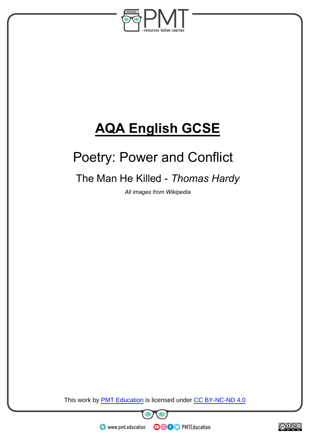

# **AQA English GCSE**

# Poetry: Power and Conflict

# The Man He Killed - *Thomas Hardy*

*All images from Wikipedia* 

This work by **PMT Education** is licensed under CC BY-NC-ND 4.0





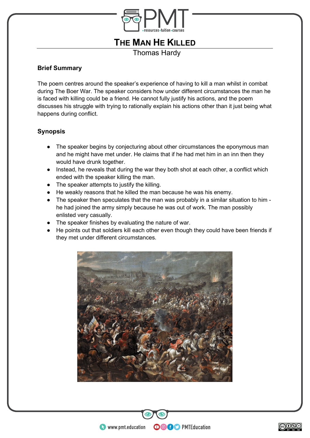

# **THE MAN HE KILLED**

Thomas Hardy

# **Brief Summary**

The poem centres around the speaker's experience of having to kill a man whilst in combat during The Boer War. The speaker considers how under different circumstances the man he is faced with killing could be a friend. He cannot fully justify his actions, and the poem discusses his struggle with trying to rationally explain his actions other than it just being what happens during conflict.

# **Synopsis**

- The speaker begins by conjecturing about other circumstances the eponymous man and he might have met under. He claims that if he had met him in an inn then they would have drunk together.
- Instead, he reveals that during the war they both shot at each other, a conflict which ended with the speaker killing the man.
- The speaker attempts to justify the killing.
- He weakly reasons that he killed the man because he was his enemy.
- The speaker then speculates that the man was probably in a similar situation to him he had joined the army simply because he was out of work. The man possibly enlisted very casually.
- The speaker finishes by evaluating the nature of war.
- He points out that soldiers kill each other even though they could have been friends if they met under different circumstances.



**OOOO** PMTEducation

![](_page_1_Figure_15.jpeg)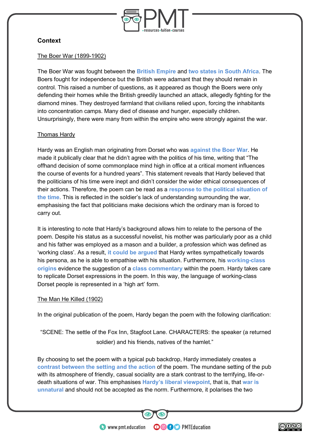![](_page_2_Picture_0.jpeg)

# **Context**

#### The Boer War (1899-1902)

The Boer War was fought between the **British Empire** and **two states in South Africa**. The Boers fought for independence but the British were adamant that they should remain in control. This raised a number of questions, as it appeared as though the Boers were only defending their homes while the British greedily launched an attack, allegedly fighting for the diamond mines. They destroyed farmland that civilians relied upon, forcing the inhabitants into concentration camps. Many died of disease and hunger, especially children. Unsurprisingly, there were many from within the empire who were strongly against the war.

## Thomas Hardy

Hardy was an English man originating from Dorset who was **against the Boer War**. He made it publically clear that he didn't agree with the politics of his time, writing that "The offhand decision of some commonplace mind high in office at a critical moment influences the course of events for a hundred years". This statement reveals that Hardy believed that the politicians of his time were inept and didn't consider the wider ethical consequences of their actions. Therefore, the poem can be read as a **response to the political situation of the time**. This is reflected in the soldier's lack of understanding surrounding the war, emphasising the fact that politicians make decisions which the ordinary man is forced to carry out.

It is interesting to note that Hardy's background allows him to relate to the persona of the poem. Despite his status as a successful novelist, his mother was particularly poor as a child and his father was employed as a mason and a builder, a profession which was defined as 'working class'. As a result, **it could be argued** that Hardy writes sympathetically towards his persona, as he is able to empathise with his situation. Furthermore, his **working-class origins** evidence the suggestion of a **class commentary** within the poem. Hardy takes care to replicate Dorset expressions in the poem. In this way, the language of working-class Dorset people is represented in a 'high art' form.

## The Man He Killed (1902)

In the original publication of the poem, Hardy began the poem with the following clarification:

"SCENE: The settle of the Fox Inn, Stagfoot Lane. CHARACTERS: the speaker (a returned soldier) and his friends, natives of the hamlet."

By choosing to set the poem with a typical pub backdrop, Hardy immediately creates a **contrast between the setting and the action** of the poem. The mundane setting of the pub with its atmosphere of friendly, casual sociality are a stark contrast to the terrifying, life-ordeath situations of war. This emphasises **Hardy's liberal viewpoint**, that is, that **war is unnatural** and should not be accepted as the norm. Furthermore, it polarises the two

**OOOO** PMTEducation

 $\bullet$  www.pmt.education

![](_page_2_Picture_12.jpeg)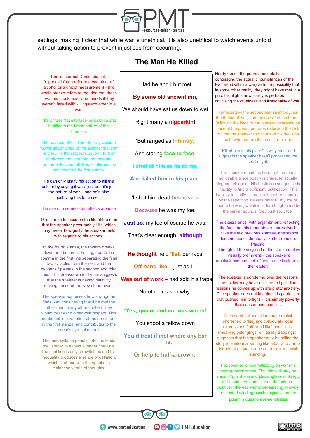![](_page_3_Picture_0.jpeg)

settings, making it clear that while war is unethical, it is also unethical to watch events unfold without taking action to prevent injustices from occurring.

# **The Man He Killed**

This is informal Dorset dialect - 'nipperskin' can refer to a container of alcohol or a unit of measurement - this whole stanza refers to the idea that these two men could easily be friends if they weren't faced with killing each other in a war.

The phrase "face to face" is emotive and highlights the tense nature of this situation.

The balance of this line - four syllables & words apportioned to the speaker's action and four to the subject's action - further reinforces the idea that the men are fundamentally equal. This continues the sentiment of the first stanza.

He can only justify his action to kill the soldier by saying it was "just so - it's just the nature of war - and he's also justifying this to himself.

The use of a semi-colon reflects a pause.

This stanza focuses on the life of the man that the speaker presumably kills, which may reveal how guilty the speaker feels with regards to his actions.

In the fourth stanza, the rhythm breaks down and becomes halting, due to the comma in the first line separating the final two syllables from the rest, and the hyphens / pauses in the second and third lines. This breakdown in rhythm suggests that the speaker is having difficulty making sense of the *why* of the event.

The speaker expresses how strange he finds war, considering that if he met the other men in any other context, they would treat each other with respect. This sentiment is a variation of the sentiment in the first stanza, and contributes to the poem's cyclical nature.

The nine-syllable penultimate line leads the listener to expect a longer final line. The final line is only six syllables and this inequality produces a sense of deflation, which is at one with the speaker's melancholy train of thoughts.

'Had he and I but met

#### **By some old ancient inn,**

We should have sat us down to wet

Right many a **nipperkin**!

'But ranged as **infantry**,

And staring **face to face**,

**I shot at him as he at me,** 

**And killed him in his place.** 

'I shot him dead **because --**

**Because** he was my foe,

**Just so**: my foe of course he was;

That's clear enough**; although**

'**He thought** he'd **'list**, perhaps,

**Off-hand like** – just as I –

**Was out of work** – had sold his traps

No other reason why.

#### **'Yes; quaint and curious war is!**

You shoot a fellow down

**You'd treat if met where any bar is,** 

**Or help to half-a-crown.'**

**OOOO** PMTEducation

Hardy opens the poem anecdotally, contrasting the actual circumstances of the two men (within a war) with the possibility that in some other reality, they might have met in a pub. Highlights how Hardy is perhaps criticising the cruelness and irrationality of war.

Immediately, the second stanza introduces the theme of war, and the use of enjambment (allowing the lines to run over) accelerates the pace of the poem, perhaps reflecting the lack of time the speaker had to make his decision as to whether to kill the soldier or not.

"Killed him in his place" is very blunt and suggests the speaker hasn't processed the conflict yet.

The speaker stumbles here - all the more noticeable since poetry is characteristically elegant / eloquent. His hesitation suggests his inability to find a sufficient justification. This inability to justify his action is further signalled by the repetition 'he was my foe' 'my foe of course he was', which is in turn heightened by the similar sounds 'foe,/ Just so… foe'

The stanza ends with enjambment, reflecting the fact that his thoughts are unresolved. Unlike the two previous stanzas, tthe stanza does not conclude neatly like but runs on. Placing 'although' at the very end of the stanza makes i visually prominent – the speaker's ambivalence and lack of assurance is clear to

the reader.

The speaker is pondering over the reasons the soldier may have enlisted to fight. The reasons he comes up with are pretty arbitrary. The speaker does not imagine it is patriotism that pushed him to fight – it is simply poverty that caused him to enlist.

The use of colloquial language (enlist shortened to 'list) and colloquial / local expressions ('off-hand like' and 'traps' (meaning belongings, or literally trappings)) suggests that the speaker may be telling the story in a informal setting like a bar and / or to friends or acquaintances of a similar social standing.

The speaker is now reflecting on war in a more general sense. The line well may be ironic - 'quaint' means 'pleasingly or strikingly old-fashioned' and its connotations are positive, whereas war is devastating in every respect - including psychologically, as the poem in question demonstrates.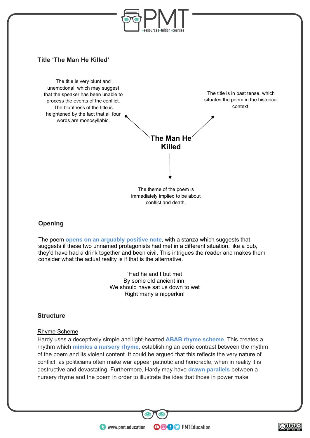![](_page_4_Picture_0.jpeg)

## **Title 'The Man He Killed'**

The title is very blunt and unemotional, which may suggest that the speaker has been unable to process the events of the conflict. The bluntness of the title is heightened by the fact that all four words are monosyllabic.

The title is in past tense, which situates the poem in the historical context.

![](_page_4_Figure_4.jpeg)

The theme of the poem is immediately implied to be about conflict and death.

# **Opening**

The poem **opens on an arguably positive note**, with a stanza which suggests that suggests if these two unnamed protagonists had met in a different situation, like a pub, they'd have had a drink together and been civil. This intrigues the reader and makes them consider what the actual reality is if that is the alternative.

> 'Had he and I but met By some old ancient inn, We should have sat us down to wet Right many a nipperkin!

## **Structure**

#### Rhyme Scheme

Hardy uses a deceptively simple and light-hearted **ABAB rhyme scheme**. This creates a rhythm which **mimics a nursery rhyme**, establishing an eerie contrast between the rhythm of the poem and its violent content. It could be argued that this reflects the very nature of conflict, as politicians often make war appear patriotic and honorable, when in reality it is destructive and devastating. Furthermore, Hardy may have **drawn parallels** between a nursery rhyme and the poem in order to illustrate the idea that those in power make

**OOOO** PMTEducation

 $\bullet$  www.pmt.education

![](_page_4_Figure_13.jpeg)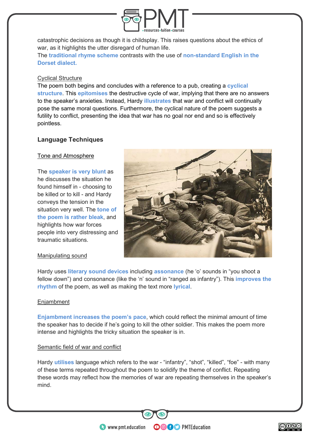![](_page_5_Picture_0.jpeg)

catastrophic decisions as though it is childsplay. This raises questions about the ethics of war, as it highlights the utter disregard of human life.

The **traditional rhyme scheme** contrasts with the use of **non-standard English in the Dorset dialect.**

#### Cyclical Structure

The poem both begins and concludes with a reference to a pub, creating a **cyclical structure**. This **epitomises** the destructive cycle of war, implying that there are no answers to the speaker's anxieties. Instead, Hardy **illustrates** that war and conflict will continually pose the same moral questions. Furthermore, the cyclical nature of the poem suggests a futility to conflict, presenting the idea that war has no goal nor end and so is effectively pointless.

## **Language Techniques**

#### Tone and Atmosphere

The **speaker is very blunt** as he discusses the situation he found himself in - choosing to be killed or to kill - and Hardy conveys the tension in the situation very well. The **tone of the poem is rather bleak**, and highlights how war forces people into very distressing and traumatic situations.

![](_page_5_Picture_8.jpeg)

#### Manipulating sound

Hardy uses **literary sound devices** including **assonance** (he 'o' sounds in "you shoot a fellow down") and consonance (like the 'n' sound in "ranged as infantry"). This **improves the rhythm** of the poem, as well as making the text more **lyrical**.

#### **Enjambment**

**Enjambment increases the poem's pace**, which could reflect the minimal amount of time the speaker has to decide if he's going to kill the other soldier. This makes the poem more intense and highlights the tricky situation the speaker is in.

#### Semantic field of war and conflict

Hardy **utilises** language which refers to the war - "infantry", "shot", "killed", "foe" - with many of these terms repeated throughout the poem to solidify the theme of conflict. Repeating these words may reflect how the memories of war are repeating themselves in the speaker's mind.

**OOOO** PMTEducation

 $\bullet$  www.pmt.education

![](_page_5_Figure_16.jpeg)